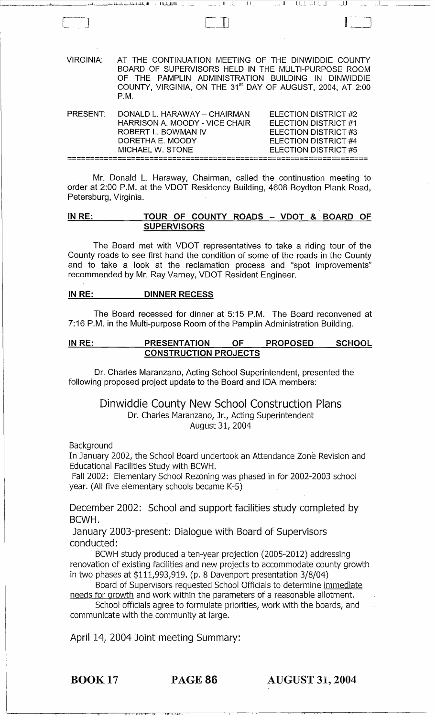| <b>VIRGINIA:</b>     | AT THE CONTINUATION MEETING OF THE DINWIDDIE COUNTY<br>BOARD OF SUPERVISORS HELD IN THE MULTI-PURPOSE ROOM<br>OF THE PAMPLIN ADMINISTRATION BUILDING IN DINWIDDIE<br>COUNTY, VIRGINIA, ON THE 31 <sup>st</sup> DAY OF AUGUST, 2004, AT 2:00<br>PM. |                                                                                                                             |
|----------------------|----------------------------------------------------------------------------------------------------------------------------------------------------------------------------------------------------------------------------------------------------|-----------------------------------------------------------------------------------------------------------------------------|
| PRESENT <sup>.</sup> | DONALD L. HARAWAY - CHAIRMAN<br>HARRISON A. MOODY - VICE CHAIR<br>ROBERT L. BOWMAN IV<br>DORETHA E. MOODY<br>MICHAFI W STONF                                                                                                                       | <b>ELECTION DISTRICT #2</b><br>ELECTION DISTRICT #1<br>ELECTION DISTRICT #3<br>ELECTION DISTRICT #4<br>ELECTION DISTRICT #5 |
|                      |                                                                                                                                                                                                                                                    |                                                                                                                             |

Mr. Donald L. Haraway, Chairman, called the continuation meeting to order at 2:00 P.M. at the VDOT Residency Building, 4608 Boydton Plank Road, Petersburg, Virginia.

### IN RE: TOUR OF COUNTY ROADS - VDOT & BOARD OF **SUPERVISORS**

The Board met with VDOT representatives to take a riding tour of the County roads to see first hand the condition of some of the roads in the County and to take a look at the reclamation process and "spot improvements" recommended by Mr. Ray Varney, VDOT Resident Engineer.

### IN RE: DINNER RECESS

The Board recessed for dinner at 5:15 P.M. The Board reconvened at 7:16 P.M. in the Multi-purpose Room of the Pamplin Administration Building.

### IN RE: PRESENTATION OF PROPOSED SCHOOL CONSTRUCTION PROJECTS

Dr. Charles Maranzano, Acting School Superintendent, presented the following proposed project update to the Board and IDA members:

### Dinwiddie County New School Construction Plans Dr. Charles Maranzano, Jr., Acting Superintendent August 31, 2004

**Background** 

In January 2002, the School Board undertook an Attendance Zone Revision and Educational Facilities Study with BCWH.

Fall 2002: Elementary School Rezoning was phased in for 2002-2003 school year. (All five elementary schools became K-5)

December 2002: School and support facilities study completed by BCWH.

January 2003-present: Dialogue with Board of Supervisors conducted:

BCWH study produced a ten-year projection (2005-2012) addressing renovation of existing facilities and new projects to accommodate county growth in two phases at \$111,993,919. (p. 8 Davenport presentation 3/8/04)

Board of Supervisors requested School Officials to determine immediate needs for growth and work within the parameters of a reasonable allotment.

School officials agree to formulate priorities, work with the boards, and communicate with the community at large.

April 14, 2004 Joint meeting Summary:

'I II 11,1, 1,1 ill ill \ lIi\I\\

BOOK 17 PAGE 86 AUGUST 31, 2004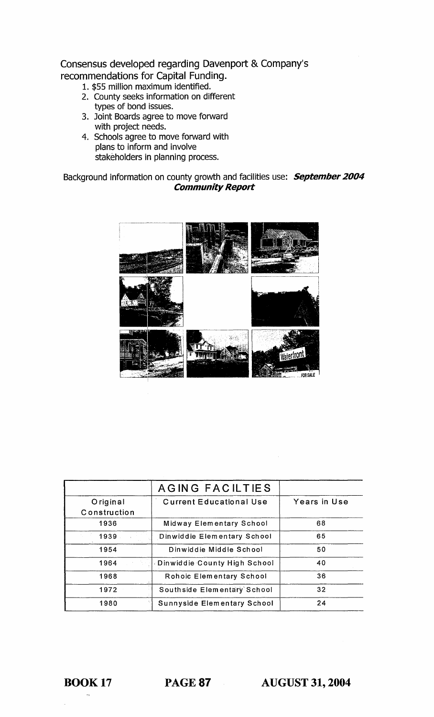Consensus developed regarding Davenport & Company's recommendations for Capital Funding.

- 1. \$55 million maximum identified.
- 2. County seeks information on different types of bond issues.
- 3. Joint Boards agree to move forward with project needs.
- 4. Schools agree to move forward with plans to inform and involve stakeholders in planning process.

### Background information on county growth and facilities use: **September 2004** Community Report



|                          | AGING FACILTIES                |                 |
|--------------------------|--------------------------------|-----------------|
| Original<br>Construction | <b>Current Educational Use</b> | Years in Use    |
| 1936                     | Midway Elementary School       | 68              |
| 1939                     | Dinwiddie Elementary School    | 65              |
| 1954                     | Dinwiddie Middle School        | 50              |
| 1964                     | Dinwiddie County High School   | 40              |
| 1968                     | Rohoic Elementary School       | 36              |
| 1972                     | Southside Elementary School    | 32 <sup>°</sup> |
| 1980                     | Sunnyside Elementary School    | 24              |

BOOK 17 PAGE 87 AUGUST 31, 2004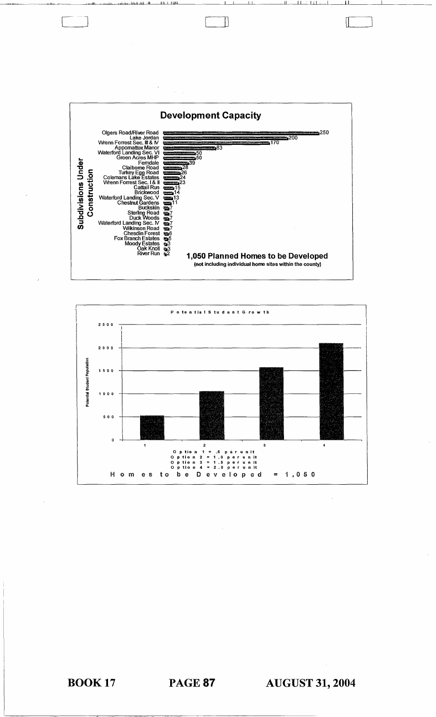

Ľ

 $\left\lceil$ 



**BOOK 17** 

**AUGUST 31, 2004**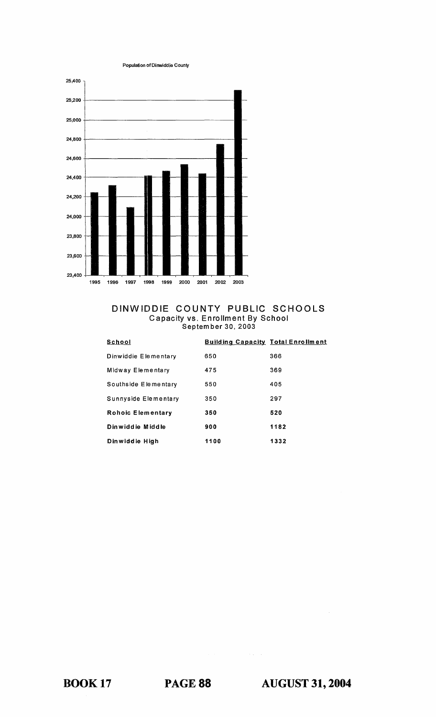Population of Dirwiddie County



### DINWIDDIE COUNTY PUBLIC SCHOOLS Capacity VS, Enrollment By School Septem ber 30, 2003

| School               | <b>Building Capacity Total Enrollment</b> |      |
|----------------------|-------------------------------------------|------|
| Dinwiddie Elementary | 650                                       | 366  |
| Midway Elementary    | 475                                       | 369  |
| Southside Elementary | 550                                       | 405  |
| Sunnyside Elementary | 350                                       | 297  |
| Rohoic Elementary    | 350                                       | 520  |
| Dinwiddie Middle     | 900                                       | 1182 |
| Dinwiddie High       | 1100                                      | 1332 |

BOOK 17 PAGE 88 **AUGUST 31,2004** 

 $\hat{\sigma}(\hat{x}) = \hat{x}$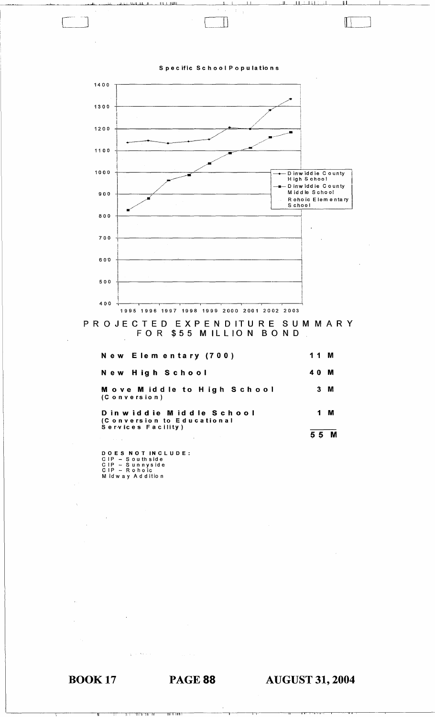

 $\mathbb T$ 

 $\mathbb T$ 

PROJECTED EXPENDITURE SUMMARY FOR \$55 MILLION BOND

| New Elementary (700)                                                        | 11 M           |   |
|-----------------------------------------------------------------------------|----------------|---|
| New High School                                                             | 40             | M |
| <b>Move Middle to High School</b><br>(Conversion)                           | 3 M            |   |
| Dinwiddie Middle School<br>(Conversion to Educational<br>Services Facility) | 1              | м |
|                                                                             | 5 <sub>5</sub> | M |

DOES NOT INCLUDE :<br>CIP – Southside<br>CIP – Sunnyside<br>CIP – Rohoic<br>Midway Addition

**BOOK 17** 

### **PAGE 88**

**AUGUST 31, 2004**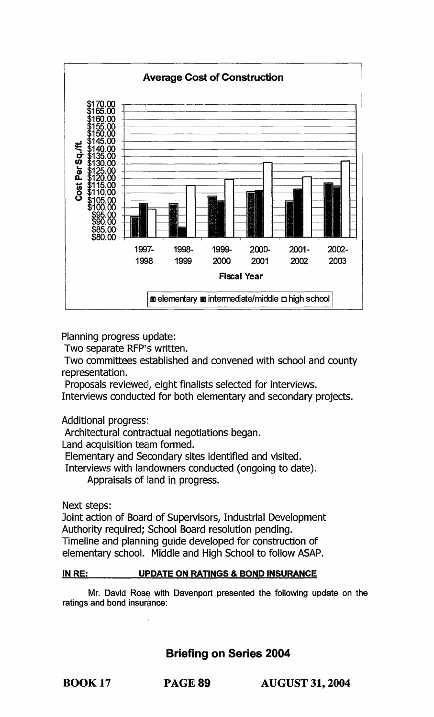

Planning progress update:

Two separate RFP's written.

Two committees established and convened with school and county representation.

Proposals reviewed, eight finalists selected for interviews.

Interviews conducted for both elementary and secondary projects.

Additional progress:

Architectural contractual negotiations began.

Land acquisition team formed.

Elementary and Secondary sites identified and visited.

Interviews with landowners conducted (ongoing to date). Appraisals of land in progress.

Next steps:

Joint action of Board of Supervisors, Industrial Development Authority required; School Board resolution pending. Timeline and planning guide developed for construction of elementary school. Middle and High School to follow ASAP.

### IN RE: UPDATE ON RATINGS & BOND INSURANCE

Mr. David Rose with Davenport presented the following update on the ratings and bond insurance:

Briefing on Series 2004

BOOK 17 PAGE 89 AUGUST 31, 2004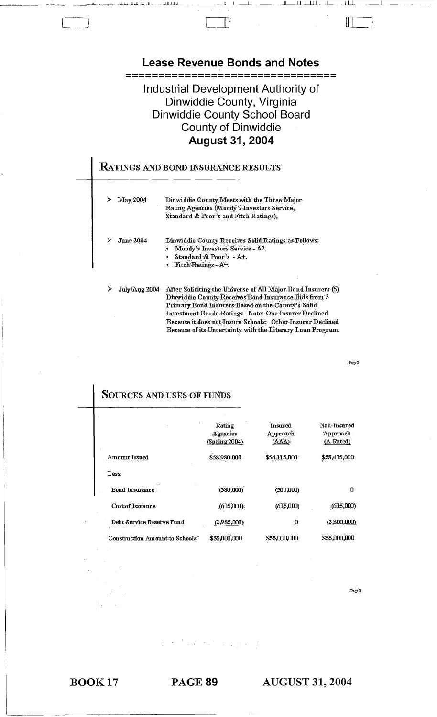

 $Paze2$ 

| <b>SOURCES AND USES OF FUNDS</b> |                                     |                                     |                                       |
|----------------------------------|-------------------------------------|-------------------------------------|---------------------------------------|
|                                  | Rating<br>Agencies<br>(Sprime 2004) | <b>Insured</b><br>Approach<br>(AAA) | Non-Insured<br>Approach<br>(A Rated). |
| <b>Amount Issued</b>             | \$58,980,000                        | \$56,115,000                        | \$58,415,000                          |
| Less:                            |                                     |                                     |                                       |
| <b>Bond Insurance</b>            | (380,000)                           | (500,000)                           | 0                                     |
| <b>Cost of Issuance</b>          | (615,000)                           | (615,000)                           | (615,000)                             |
| Debt Service Reserve Fund        | (2,985,000)                         | ு                                   | (2,800,000)                           |
| Construction Amount to Schools   | \$55,000,000                        | \$55,000,000                        | \$55,000,000                          |

Page 3

 $\mathcal{O}(\mathcal{O}_\mathcal{A})$  . The  $\mathcal{O}_\mathcal{A}$ 

**BOOK 17** 

ı

**PAGE 89**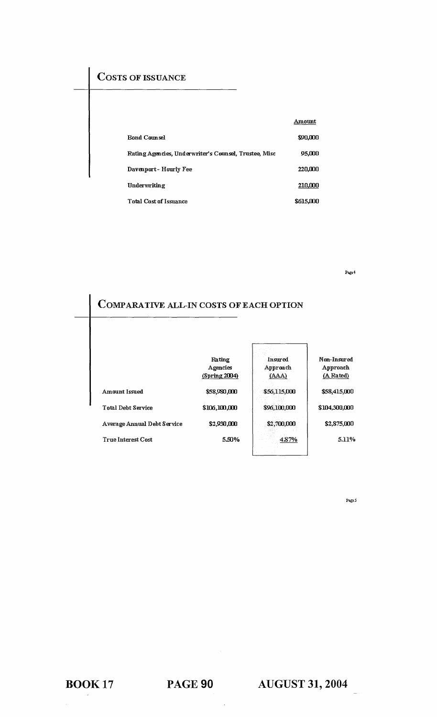## COSTS OF ISSUANCE

|                                                       | Amount    |
|-------------------------------------------------------|-----------|
| <b>Rond Counsel</b>                                   | \$90,000  |
| Rating Agencies, Underwriter's Counsel, Trustee, Misc | 95,000    |
| Davenport - Hourly Fee                                | 220,000   |
| Underwriting                                          | 210,000   |
| Total Cost of Issuance                                | \$615,000 |

Page 4

# COMPARATIVE ALL-IN COSTS OF EACH OPTION

|                             | Rating        | Insured      | Non-Insured   |
|-----------------------------|---------------|--------------|---------------|
|                             | Agencies      | Approach     | Approach      |
|                             | (Spring 2004) | (AAA)        | (A Rated)     |
| Amount Issued               | \$58,980,000  | \$56,115,000 | \$58,415,000  |
| Total Debt Service          | \$106,100,000 | \$96,100,000 | \$104,300,000 |
| Average Annual Debt Service | \$2,930,000   | \$2,700,000  | \$2,875,000   |
| <b>True Interest Cost</b>   | 5.50%         | 487%         | 5.11%         |

Page 5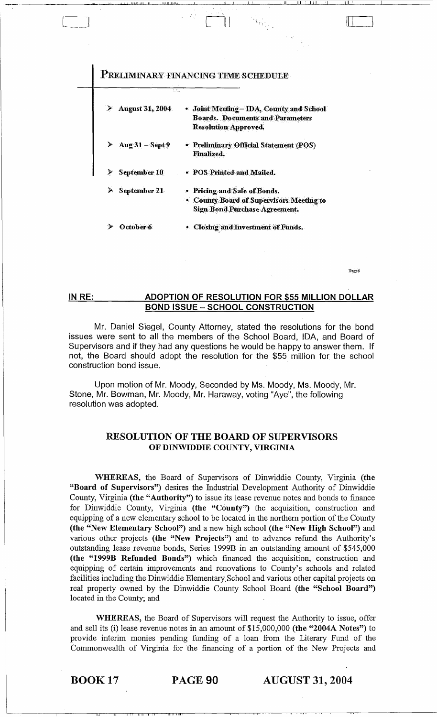|                                       | 23. J                                    |
|---------------------------------------|------------------------------------------|
| ۶<br><b>August 31, 2004</b>           | Joint Meeting - IDA, County and School   |
|                                       | <b>Boards. Documents and Parameters</b>  |
|                                       | <b>Resolution Approved.</b>              |
| ≻<br>Aug $31 -$ Sépt $9$              | • Preliminary Official Statement (POS)   |
|                                       | <b>Finalized.</b>                        |
| $\blacktriangleright$<br>September 10 | • POS Printed and Mailed.                |
| ≻<br>September 21                     | • Pricing and Sale of Bonds.             |
|                                       | • County Board of Supervisors Meeting to |
|                                       | <b>Sign Bond Purchase Agreement.</b>     |
| October 6                             | · Closing and Investment of Funds.       |

Page6

#### IN RE: ADOPTION OF RESOLUTION FOR \$55 MILLION DOLLAR **BOND ISSUE - SCHOOL CONSTRUCTION**

Mr. Daniel Siegel, County Attorney, stated the resolutions for the bond issues were sent to all the members of the School Board, IDA, and Board of Supervisors and if they had any questions he would be happy to answer them. If not, the Board should adopt the resolution for the \$55 million for the school construction bond issue.

Upon motion of Mr. Moody, Seconded by Ms. Moody, Ms. Moody, Mr. Stone, Mr. Bowman, Mr. Moody, Mr. Haraway, voting "Aye", the following resolution was adopted.

### **RESOLUTION OF THE BOARD OF SUPERVISORS** OF DINWIDDIE COUNTY, VIRGINIA

WHEREAS, the Board of Supervisors of Dinwiddie County, Virginia (the "Board of Supervisors") desires the Industrial Development Authority of Dinwiddie County, Virginia (the "Authority") to issue its lease revenue notes and bonds to finance for Dinwiddie County, Virginia (the "County") the acquisition, construction and equipping of a new elementary school to be located in the northern portion of the County (the "New Elementary School") and a new high school (the "New High School") and various other projects (the "New Projects") and to advance refund the Authority's outstanding lease revenue bonds, Series 1999B in an outstanding amount of \$545,000 (the "1999B Refunded Bonds") which financed the acquisition, construction and equipping of certain improvements and renovations to County's schools and related facilities including the Dinwiddie Elementary School and various other capital projects on real property owned by the Dinwiddie County School Board (the "School Board") located in the County; and

WHEREAS, the Board of Supervisors will request the Authority to issue, offer and sell its (i) lease revenue notes in an amount of \$15,000,000 (the "2004A Notes") to provide interim monies pending funding of a loan from the Literary Fund of the Commonwealth of Virginia for the financing of a portion of the New Projects and

**BOOK 17** 

PAGE 90

**AUGUST 31, 2004**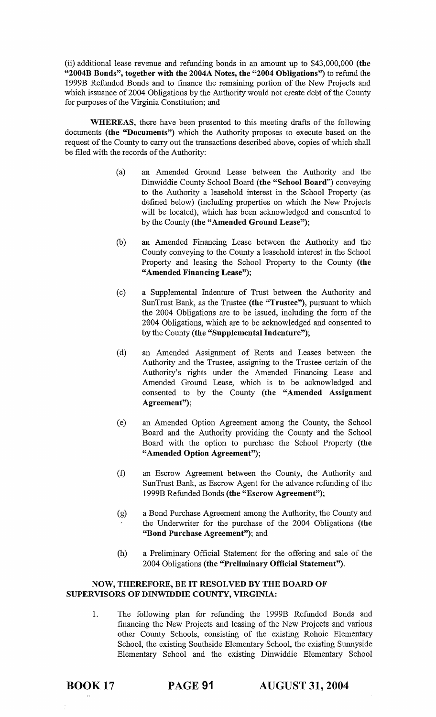(ii) additional lease revenue and refunding bonds in an amount up to \$43,000,000 (the "2004B Bonds", together with the 2004A Notes, the "2004 Obligations") to refund the 1999B Refunded Bonds and to finance the remaining portion of the New Projects and which issuance of 2004 Obligations by the Authority would not create debt of the County for purposes of the Virginia Constitution; and

WHEREAS, there have been presented to this meeting drafts of the following documents (the "Documents") which the Authority proposes to execute based on the request of the County to carry out the transactions described above, copies of which shall be filed with the records of the Authority:

- (a) an Amended Ground Lease between the Authority and the Dinwiddie County School Board (the "School Board") conveying to the Authority a leasehold interest in the School Property (as defined below) (including properties on which the New Projects will be located), which has been acknowledged and consented to by the County (the "Amended Ground Lease");
- (b) an Amended Financing Lease between the Authority and the County conveying to the County a leasehold interest in the School Property and leasing the School Property to the County (the "Amended Financing Lease");
- (c) a Supplemental Indenture of Trust between the Authority and SunTrust Bank, as the Trustee (the "Trustee"), pursuant to which the 2004 Obligations are to be issued, including the fonn of the 2004 Obligations, which are to be acknowledged and consented to by the County (the "Supplemental Indenture");
- (d) an Amended Assignment of Rents and Leases between the Authority and the Trustee, assigning to the Trustee certain of the Authority's rights under the Amended Financing Lease and Amended Ground Lease, which is to be acknowledged and consented to by the County (the "Amended Assignment Agreement");
- ( e) an Amended Option Agreement among the County, the School Board and the Authority providing the County and the School Board with the option to purchase the School Property (the "Amended Option Agreement");
- (f) an Escrow Agreement between the County, the Authority and SunTrust Bank, as Escrow Agent for the advance refunding of the 1999B Refunded Bonds (the "Escrow Agreement");
- (g) a Bond Purchase Agreement among the Authority, the County and the Underwriter for the purchase of the 2004 Obligations (the "Bond Purchase Agreement"); and
- (h) a Preliminary Official Statement for the offering and sale of the 2004 Obligations (the "Preliminary Official Statement").

### NOW, THEREFORE, BE IT RESOLVED BY THE BOARD OF SUPERVISORS OF DINWIDDIE COUNTY, VIRGINIA:

1. The following plan for refunding the 1999B Refunded Bonds and financing the New Projects and leasing of the New Projects and various other County Schools, consisting of the existing Rohoic Elementary School, the existing Southside Elementary School, the existing Sunnyside Elementary School and the existing Dinwiddie Elementary School

BOOK 17 PAGE 91 AUGUST 31, 2004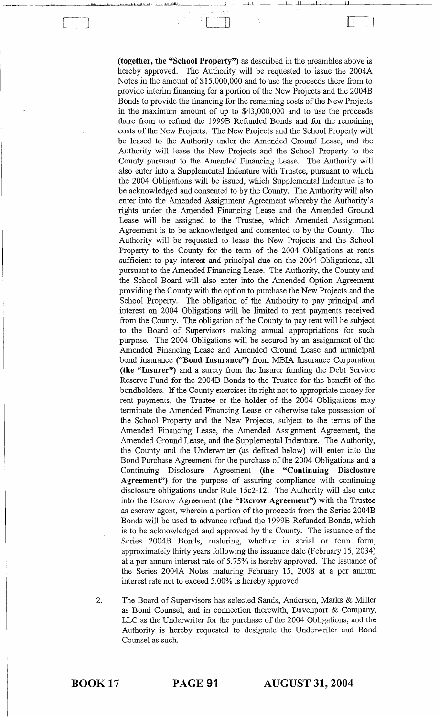**(together, the "School Property")** as described in the preambles above is hereby approved. The Authority will be requested to issue the 2004A Notes in the amount of \$15,000,000 and to use the proceeds there from to provide interim financing for a portion of the New Projects and the 2004B Bonds to provide the financing for the remaining costs of the New Projects in the maximum amount of up to \$43,000,000 and to use the proceeds there from to refund the 1999B Refunded Bonds and for the remaining costs of the New Projects. The New Projects and the School Property will be leased to the Authority under the Amended Ground Lease, and the Authority will lease the New Projects and the School Property to the County pursuant to the Amended Financing Lease. The Authority will also enter into a Supplemental Indenture with Trustee, pursuant to which the 2004 Obligations will be issued, which Supplemental Indenture is to be acknowledged and consented to by the County. The Authority will also enter into the Amended Assignment Agreement whereby the Authority's rights under the Amended Financing Lease and the Amended Ground Lease will be assigned to the Trustee, which Amended Assignment Agreement is to be acknowledged and consented to by the County. The Authority will be requested to lease the New Projects and the School Property to the County for the term of the 2004 Obligations at rents sufficient to pay interest and principal due on the 2004 Obligations, all pursuant to the Amended Financing Lease. The Authority, the County and the School Board will also enter into the Amended Option Agreement providing the County with the option to purchase the New Projects and the School Property. The obligation of the Authority to pay principal and interest on 2004 Obligations will be limited to rent payments received from the County. The obligation of the County to pay rent will be subject to the Board of Supervisors making annual appropriations for such purpose. The 2004 Obligations will be secured by an assignment of the Amended Financing Lease and Amended Ground Lease and municipal bond insurance **("Bond Insurance")** from MBIA Insurance Corporation **(the "Insurer")** and a surety from the Insurer funding the Debt Service Reserve Fund for the 2004B Bonds to the Trustee for the benefit of the bondholders. If the County exercises its right not to appropriate money for rent payments, the Trustee or the holder of the 2004 Obligations may terminate the Amended Financing Lease or otherwise take possession of the School Property and the New Projects, subject to the terms of the Amended Financing Lease, the Amended Assignment Agreement, the Amended Ground Lease, and the Supplemental Indenture. The Authority, the County and the Underwriter (as defined below) will enter into the Bond Purchase Agreement for the purchase of the 2004 Obligations and a Continuing Disclosure Agreement **(the "Continuing Disclosure Agreement")** for the purpose of assuring compliance with continuing disclosure obligations under Rule 15c2-12. The Authority will also enter into the Escrow Agreement **(the "Escrow Agreement")** with the Trustee as escrow agent, wherein a portion of the proceeds from the Series 2004B Bonds will be used to advance refund the 1999B Refunded Bonds, which is to be acknowledged and approved by the County. The issuance of the Series 2004B Bonds, maturing, whether in serial or term form, approximately thirty years following the issuance date (February 15, 2034) at a per annum interest rate of 5.75% is hereby approved. The issuance of the Series 2004A Notes maturing February 15, 2008 at a per annum interest rate not to exceed 5.00% is hereby approved.

العام بمن المسافرة العام التي تعالى السابقة التي تعالى المسافرة التي تعالى التي تعالى التي تعالى التي تعالى ال<br>التي تعالى التي تعالى التي تعالى التي تعالى التي تعالى التي تعالى التي تعالى التي تعالى التي تعالى التي تعالى

.,

<sup>~</sup>i

2. The Board of Supervisors has selected Sands, Anderson, Marks & Miller as Bond Counsel, and in connection therewith, Davenport & Company, LLC as the Underwriter for the purchase of the 2004 Obligations, and the Authority is hereby requested to designate the Underwriter and Bond Counsel as such.

BOOK 17 PAGE 91 **AUGUST 31, 2004**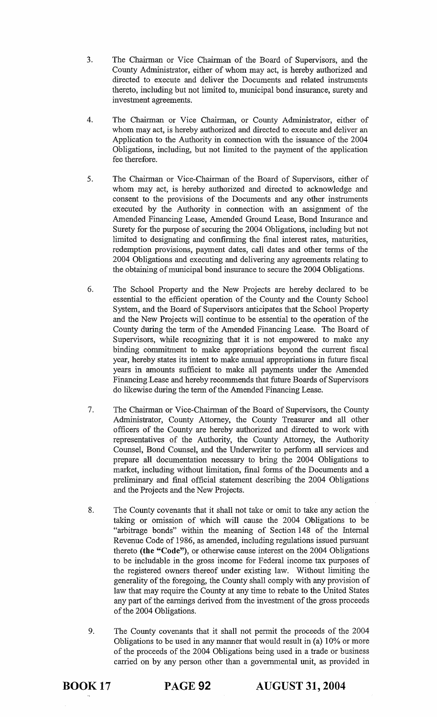- 3. The Chairman or Vice Chairman of the Board of Supervisors, and the County Administrator, either of whom may act, is hereby authorized and directed to execute and deliver the Documents and related instruments thereto, including but not limited to, municipal bond insurance, surety and investment agreements.
- 4. The Chairman or Vice Chairman, or County Administrator, either of whom may act, is hereby authorized and directed to execute and deliver an Application to the Authority in connection with the issuance of the 2004 Obligations, including, but not limited to the payment of the application fee therefore.
- 5. The Chairman or Vice-Chairman of the Board of Supervisors, either of whom may act, is hereby authorized and directed to acknowledge and consent to the provisions of the Documents and any other instruments executed by the Authority in connection with an assignment of the Amended Financing Lease, Amended Ground Lease, Bond Insurance and Surety for the purpose of securing the 2004 Obligations, including but not limited to designating and confirming the final interest rates, maturities, redemption provisions, payment dates, call dates and other terms of the 2004 Obligations and executing and delivering any agreements relating to the obtaining of municipal bond insurance to secure the 2004 Obligations.
- 6. The School Property and the New Projects are hereby declared to be essential to the efficient operation of the County and the County School System, and the Board of Supervisors anticipates that the School Property and the New Projects will continue to be essential to the operation of the County during the term of the Amended Financing Lease. The Board of Supervisors, while recognizing that it is not empowered to make any binding commitment to make appropriations beyond the current fiscal year, hereby states its intent to make annual appropriations in future fiscal years in amounts sufficient to make all payments under the Amended Financing Lease and hereby recommends that future Boards of Supervisors do likewise during the term of the Amended Financing Lease.
- 7. The Chairman or Vice-Chairman of the Board of Supervisors, the County Administrator, County Attorney, the County Treasurer and all other officers of the County are hereby authorized and directed to work with representatives of the Authority, the County Attorney, the Authority Counsel, Bond Counsel, and the Underwriter to perform all services and prepare all documentation necessary to bring the 2004 Obligations to market, including without limitation, final forms of the Documents and a preliminary and final official statement describing the 2004 Obligations and the Projects and the New Projects.
- 8. The County covenants that it shall not take or omit to take any action the taking or omission of which will cause the 2004 Obligations to be "arbitrage bonds" within the meaning of Section 148 of the Internal Revenue Code of 1986, as amended, including regulations issued pursuant thereto **(the** "Code"), or otherwise cause interest on the 2004 Obligations to be includable in the gross income for Federal income tax purposes of the registered owners thereof under existing law. Without limiting the generality of the foregoing, the County shall comply with any provision of law that may require the County at any time to rebate to the United States any part of the earnings derived from the investment of the gross proceeds of the 2004 Obligations.
- 9. The County covenants that it shall not permit the proceeds of the 2004 Obligations to be used in any manner that would result in (a) 10% or more of the proceeds of the 2004 Obligations being used in a trade or business carried on by any person other than a governmental unit, as provided in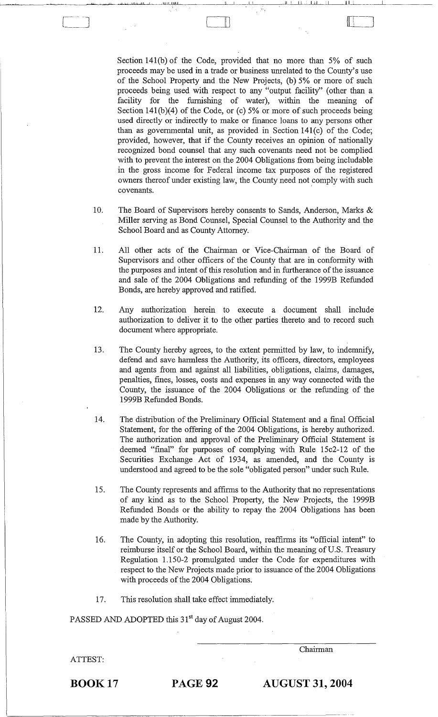Section 141(b) of the Code, provided that no more than 5% of such proceeds may be used in a trade or business unrelated to the County's use of the School Property and the New Projects, (b) 5% or more of such proceeds being used with respect to any "output facility" (other than a facility for the furnishing of water), within the meaning of Section  $141(b)(4)$  of the Code, or (c) 5% or more of such proceeds being used directly or indirectly to make or finance loans to any persons other than as governmental unit, as provided in Section l41(c) of the Code; provided, however, that if the County receives an opinion of nationally recognized bond counsel that any such covenants need not be complied with to prevent the interest on the 2004 Obligations from being includable in the gross income for Federal income tax purposes of the registered owners thereof under existing law, the County need not comply with such covenants.

... :...1 " 1Jw...Ju.......I~II.L1LlJillj~\_~ \_\_ -'L'i -,-I \_1--1-1 \_\_ --'I,I--L-U~LL1~\_\_\_\_\_\_\_.lLI\_I \_\_ \_\_\_\_\_' \_\_\_\_ \_

 $\sqcup$ 

- 10. The Board of Supervisors hereby consents to Sands, Anderson, Marks & Miller serving as Bond Counsel, Special Counsel to the Authority and the School Board and as County Attorney.
- 11. All other acts of the Chairman or Vice-Chairman of the Board of Supervisors and other officers of the County that are in conformity with the purposes and intent of this resolution and in furtherance of the issuance and sale of the 2004 Obligations and refunding of the 1999B Refunded Bonds, are hereby approved and ratified.
- 12. Any authorization herein to execute a document shall include authorization to deliver it to the other parties thereto and to record such document where appropriate.
- 13. The County hereby agrees, to the extent permitted by law, to indemnify, defend and save harmless the Authority, its officers, directors, employees and agents from and against all liabilities, obligations, claims, damages, penalties, fines, losses, costs and expenses in any way connected with the County, the issuance of the 2004 Obligations or the refunding of the 1999B Refunded Bonds.
- 14. The distribution of the Preliminary Official Statement and a final Official Statement, for the offering of the 2004 Obligations, is hereby authorized. The authorization and approval of the Preliminary Official Statement is deemed "final" for purposes of complying with Rule l5c2-12 of the Securities Exchange Act of 1934, as amended, and the County is understood and agreed to be the sole "obligated person" under such Rule.
- 15. The County represents and affirms to the Authority that no representations of any kind as to the School Property, the New Projects, the 1999B Refunded Bonds or the ability to repay the 2004 Obligations has been made by the Authority.
- 16. The County, in adopting this resolution, reaffirms its "official intent" to reimburse itself or the School Board, within the meaning of U.S. Treasury Regulation 1.150-2 promulgated under the Code for expenditures with respect to the New Projects made prior to issuance of the 2004 Obligations with proceeds of the 2004 Obligations.
- 17. This resolution shall take effect immediately.

PASSED AND ADOPTED this 31<sup>st</sup> day of August 2004.

Chairman

ATTEST:

BOOK 17 PAGE 92 **AUGUST 31, 2004**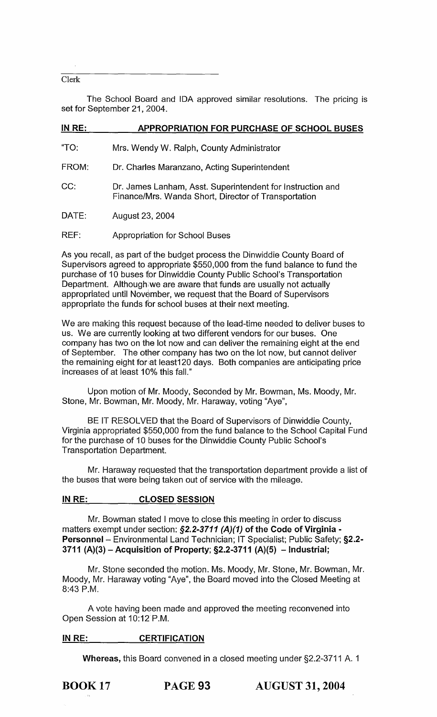### Clerk

The School Board and IDA approved similar resolutions. The pricing is set for September 21, 2004.

| IN RE: | <b>APPROPRIATION FOR PURCHASE OF SCHOOL BUSES</b>                                                                  |
|--------|--------------------------------------------------------------------------------------------------------------------|
| "TO:   | Mrs. Wendy W. Ralph, County Administrator                                                                          |
| FROM:  | Dr. Charles Maranzano, Acting Superintendent                                                                       |
| CC:    | Dr. James Lanham, Asst. Superintendent for Instruction and<br>Finance/Mrs. Wanda Short, Director of Transportation |
| DATE:  | August 23, 2004                                                                                                    |
| REF:   | <b>Appropriation for School Buses</b>                                                                              |

As you recall, as part of the budget process the Dinwiddie County Board of Supervisors agreed to appropriate \$550,000 from the fund balance to fund the purchase of 10 buses for Dinwiddie County Public School's Transportation Department. Although we are aware that funds are usually not actually appropriated until November, we request that the Board of Supervisors appropriate the funds for school buses at their next meeting.

We are making this request because of the lead-time needed to deliver buses to. us. We are currently looking at two different vendors for our buses. One company has two on the lot now and can deliver the remaining eight at the end of September. The other company has two on the lot now, but cannot deliver the remaining eight for at least120 days. Both companies are anticipating price increases af at least 10% this fall."

Upon motion of Mr. Moody, Seconded by Mr. Bowman, Ms. Moody, Mr. Stone, Mr. Bowman, Mr. Moody, Mr. Haraway, voting "Aye",

BE IT RESOLVED that the Board of Supervisors of Dinwiddie County, Virginia appropriated \$550,000 from the fund balance to the School Capital Fund for the purchase of 10 buses for the Dinwiddie County Public School's Transpartatian Department.

Mr. Haraway requested that the transportation department provide a list of the buses that were being taken out of service with the mileage.

### **IN RE: CLOSED SESSION**

Mr. Bowman stated I move to close this meeting in order to discuss matters exempt under section: §2.2-3711 (A)(1) of the Code of Virginia -**Personnel-** Environmental Land Technician; IT Specialist; Public Safety; **§2.2- 3711 (A)(3) - Acquisitnon of Property; §2.2-3711 (A)(5) - Industrial;** 

Mr. Stone seconded the motion. Ms. Moody, Mr. Stone, Mr. Bowman, Mr. Moody, Mr. Haraway voting "Aye", the Board moved into the Closed Meeting at 8:43 P.M.

A vote having been made and approved the meeting reconvened into. Open Sessian at 10:12 P.M.

### IN RE: CERTIFICATION

**Whereas, this Board convened in a closed meeting under §2.2-3711 A. 1**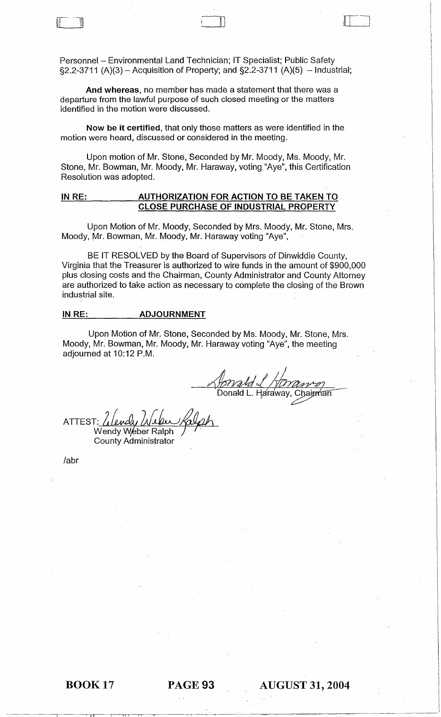Personnel - Environmental Land Technician; IT Specialist; Public Safety  $\S2.2 - 3711$  (A)(3) – Acquisition of Property; and  $\S2.2 - 3711$  (A)(5) – Industrial;

And whereas, no member has made a statement that there was a departure from the lawful purpose of such closed meeting or the matters identified in the motion were discussed.

Now be it certified, that only those matters as were identified in the motion were heard, discussed or considered in the meeting.

Upon motion of Mr. Stone, Seconded by Mr. Moody, Ms. Moody, Mr. Stone, Mr. Bowman, Mr. Moody, Mr. Haraway, voting "Aye", this Certification Resolution was adopted.

### IN RE: AUTHORIZATION FOR ACTION TO BE TAKEN TO CLOSE PURCHASE OF INDUSTRIAL PROPERTY

Upon Motion of Mr. Moody, Seconded by Mrs. Moody, Mr. Stone, Mrs. Moody, Mr. Bowman, Mr. Moody, Mr. Haraway voting "Aye",

BE IT RESOLVED by the Board of Supervisors of Dinwiddie County, Virginia that the Treasurer is authorized to wire funds in the amount of \$900,000 plus closing costs and the Chairman, County Administrator and County Attorney are authorized to take action as necessary to complete the closing of the Brown industrial site.

### IN RE: \_\_\_\_\_\_\_\_\_ ADJOURNMENT

Upon Motion of Mr. Stone, Seconded by Ms. Moody, Mr. Stone, Mrs. Moody, Mr. Bowman, Mr. Moody, Mr. Haraway voting "Aye", the meeting adjourned at 10:12 P.M.

dzm ~Yikk/L/rrml:ry7?2 *J*  Donald L. Haraway, Chairman

ATTEST: Wendy Weber Ralph County Administrator

*labr* 

~~~~~~~~~-~~~~~~I'----r:------rrr""'--~I·I~~~~~~-r~~~~~~~~-'--